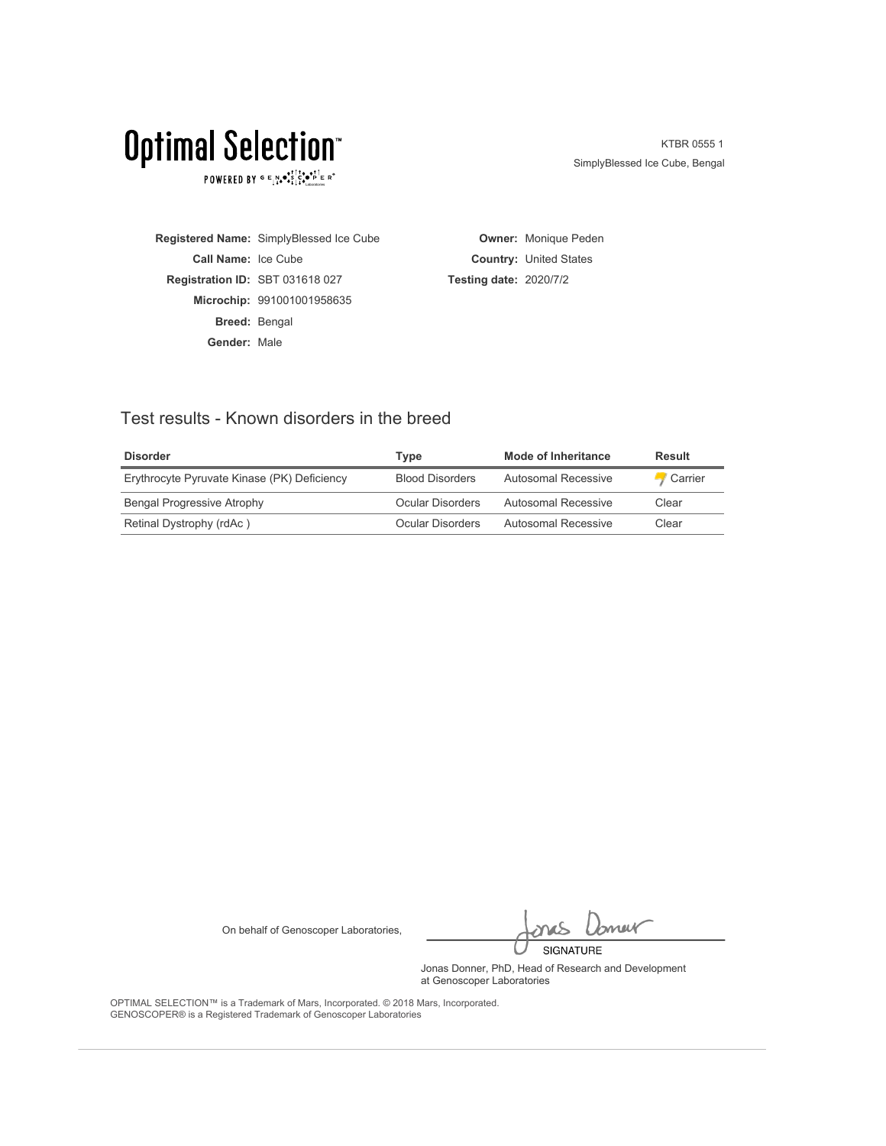POWERED BY  $G \in N_{\bullet} \bullet_{\bullet}^{\bullet} \overset{\uparrow}{\underset{\smile}{\circ}} \overset{\uparrow}{\underset{\smile}{\circ}} \overset{\uparrow}{\underset{\smile}{\circ}} \overset{\uparrow}{\underset{\smile}{\circ}} \overset{\uparrow}{\underset{\smile}{\circ}} \overset{\uparrow}{\underset{\smile}{\circ}} \overset{\uparrow}{\underset{\smile}{\circ}} \overset{\uparrow}{\underset{\smile}{\circ}} \overset{\uparrow}{\underset{\smile}{\circ}} \overset{\uparrow}{\underset{\smile}{\circ}}$ 

KTBR 0555 1 SimplyBlessed Ice Cube, Bengal

**Registered Name:** SimplyBlessed Ice Cube **Call Name:** Ice Cube **Registration ID:** SBT 031618 027 **Microchip:** 991001001958635 **Breed:** Bengal **Gender:** Male

**Owner:** Monique Peden **Country:** United States **Testing date:** 2020/7/2

### Test results - Known disorders in the breed

| <b>Disorder</b>                             | Type                   | Mode of Inheritance | Result  |
|---------------------------------------------|------------------------|---------------------|---------|
| Erythrocyte Pyruvate Kinase (PK) Deficiency | <b>Blood Disorders</b> | Autosomal Recessive | Carrier |
| <b>Bengal Progressive Atrophy</b>           | Ocular Disorders       | Autosomal Recessive | Clear   |
| Retinal Dystrophy (rdAc)                    | Ocular Disorders       | Autosomal Recessive | Clear   |

On behalf of Genoscoper Laboratories,

bnew SIGNATURE

Jonas Donner, PhD, Head of Research and Development at Genoscoper Laboratories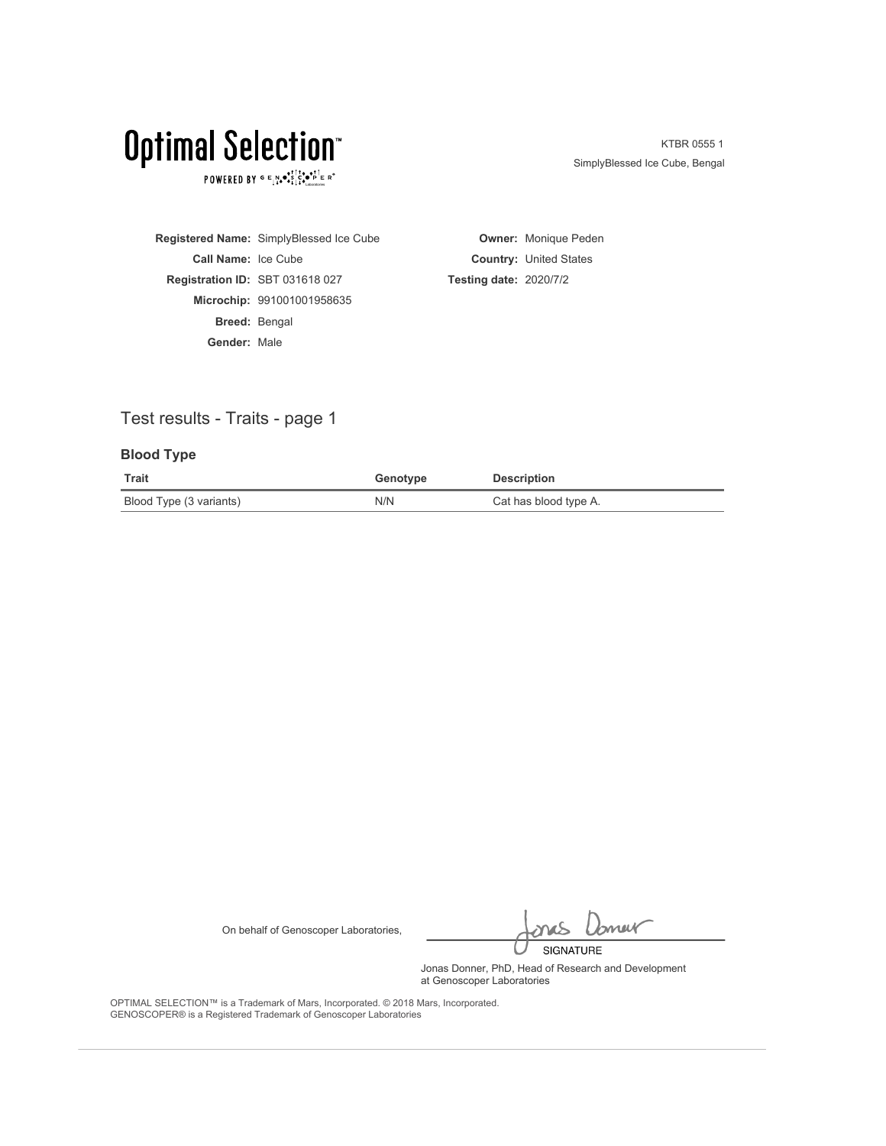POWERED BY  $G \in N_{\bullet} \bullet_{\bullet}^{\bullet} \overset{\uparrow}{\underset{\smile}{\circ}} \overset{\uparrow}{\underset{\smile}{\circ}} \overset{\uparrow}{\underset{\smile}{\circ}} \overset{\uparrow}{\underset{\smile}{\circ}} \overset{\uparrow}{\underset{\smile}{\circ}} \overset{\uparrow}{\underset{\smile}{\circ}} \overset{\uparrow}{\underset{\smile}{\circ}} \overset{\uparrow}{\underset{\smile}{\circ}} \overset{\uparrow}{\underset{\smile}{\circ}} \overset{\uparrow}{\underset{\smile}{\circ}}$ 

KTBR 0555 1 SimplyBlessed Ice Cube, Bengal

**Registered Name:** SimplyBlessed Ice Cube **Call Name:** Ice Cube **Registration ID:** SBT 031618 027 **Microchip:** 991001001958635 **Breed:** Bengal **Gender:** Male

**Owner:** Monique Peden **Country:** United States **Testing date:** 2020/7/2

## Test results - Traits - page 1

### **Blood Type**

| Trait                   | Genotype | <b>Description</b>    |
|-------------------------|----------|-----------------------|
| Blood Type (3 variants) | N/N      | Cat has blood type A. |

On behalf of Genoscoper Laboratories,

bnew SIGNATURE

Jonas Donner, PhD, Head of Research and Development at Genoscoper Laboratories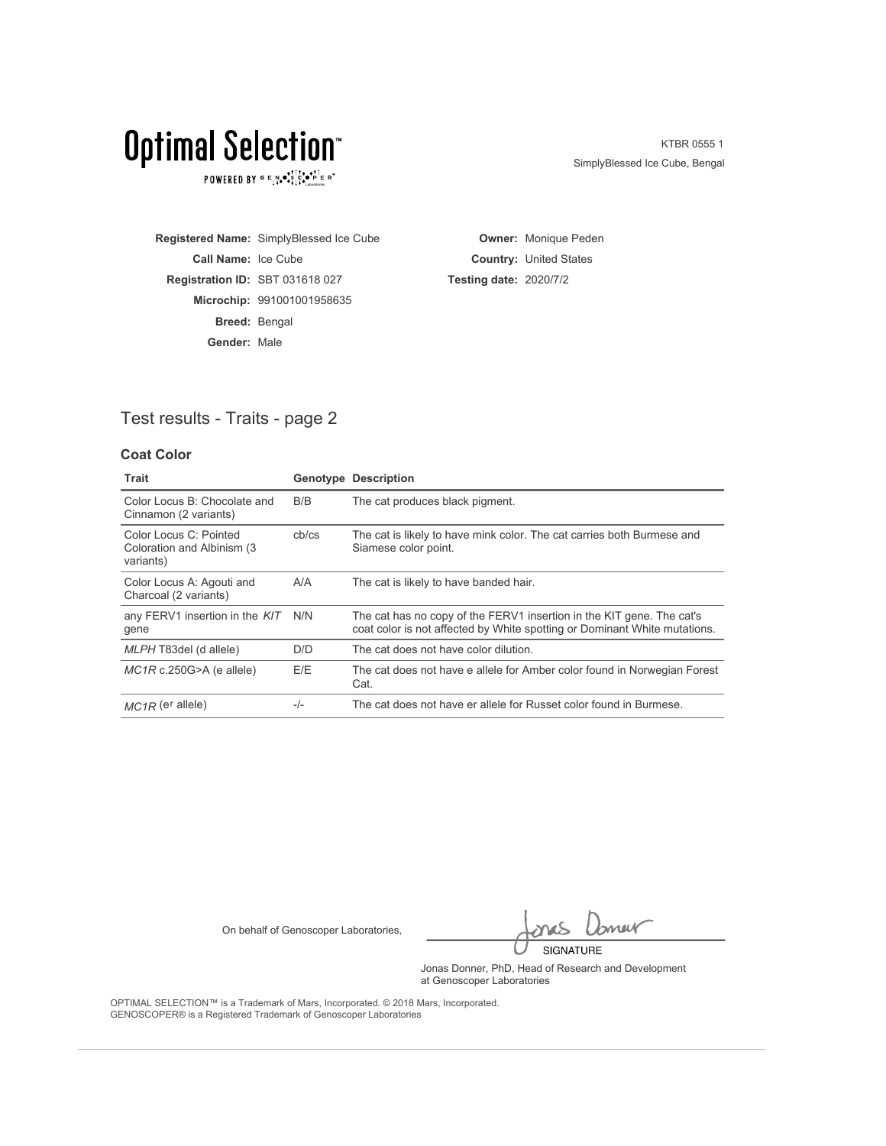POWERED BY  $G \in N_{\bullet} \bullet_{\bullet}^{\bullet} \overset{\uparrow}{\underset{\smile}{\circ}} \overset{\uparrow}{\underset{\smile}{\circ}} \overset{\uparrow}{\underset{\smile}{\circ}} \overset{\uparrow}{\underset{\smile}{\circ}} \overset{\uparrow}{\underset{\smile}{\circ}} \overset{\uparrow}{\underset{\smile}{\circ}} \overset{\uparrow}{\underset{\smile}{\circ}} \overset{\uparrow}{\underset{\smile}{\circ}} \overset{\uparrow}{\underset{\smile}{\circ}} \overset{\uparrow}{\underset{\smile}{\circ}}$ 

KTBR 0555 1 SimplyBlessed Ice Cube, Bengal

**Registered Name:** SimplyBlessed Ice Cube **Call Name:** Ice Cube **Registration ID:** SBT 031618 027 **Microchip:** 991001001958635 **Breed:** Bengal **Gender:** Male

**Owner:** Monique Peden **Country:** United States **Testing date:** 2020/7/2

## Test results - Traits - page 2

### **Coat Color**

| Trait                                                              |       | <b>Genotype Description</b>                                                                                                                        |
|--------------------------------------------------------------------|-------|----------------------------------------------------------------------------------------------------------------------------------------------------|
| Color Locus B: Chocolate and<br>Cinnamon (2 variants)              | B/B   | The cat produces black pigment.                                                                                                                    |
| Color Locus C: Pointed<br>Coloration and Albinism (3)<br>variants) | cb/cs | The cat is likely to have mink color. The cat carries both Burmese and<br>Siamese color point.                                                     |
| Color Locus A: Agouti and<br>Charcoal (2 variants)                 | A/A   | The cat is likely to have banded hair.                                                                                                             |
| any FERV1 insertion in the KIT<br>gene                             | N/N   | The cat has no copy of the FERV1 insertion in the KIT gene. The cat's<br>coat color is not affected by White spotting or Dominant White mutations. |
| MLPH T83del (d allele)                                             | D/D   | The cat does not have color dilution.                                                                                                              |
| $MC1R$ c.250G>A (e allele)                                         | E/E   | The cat does not have e allele for Amber color found in Norwegian Forest<br>Cat.                                                                   |
| $MC1R$ (e <sup>r</sup> allele)                                     | $-/-$ | The cat does not have er allele for Russet color found in Burmese.                                                                                 |

On behalf of Genoscoper Laboratories,

Imer SIGNATURE

Jonas Donner, PhD, Head of Research and Development at Genoscoper Laboratories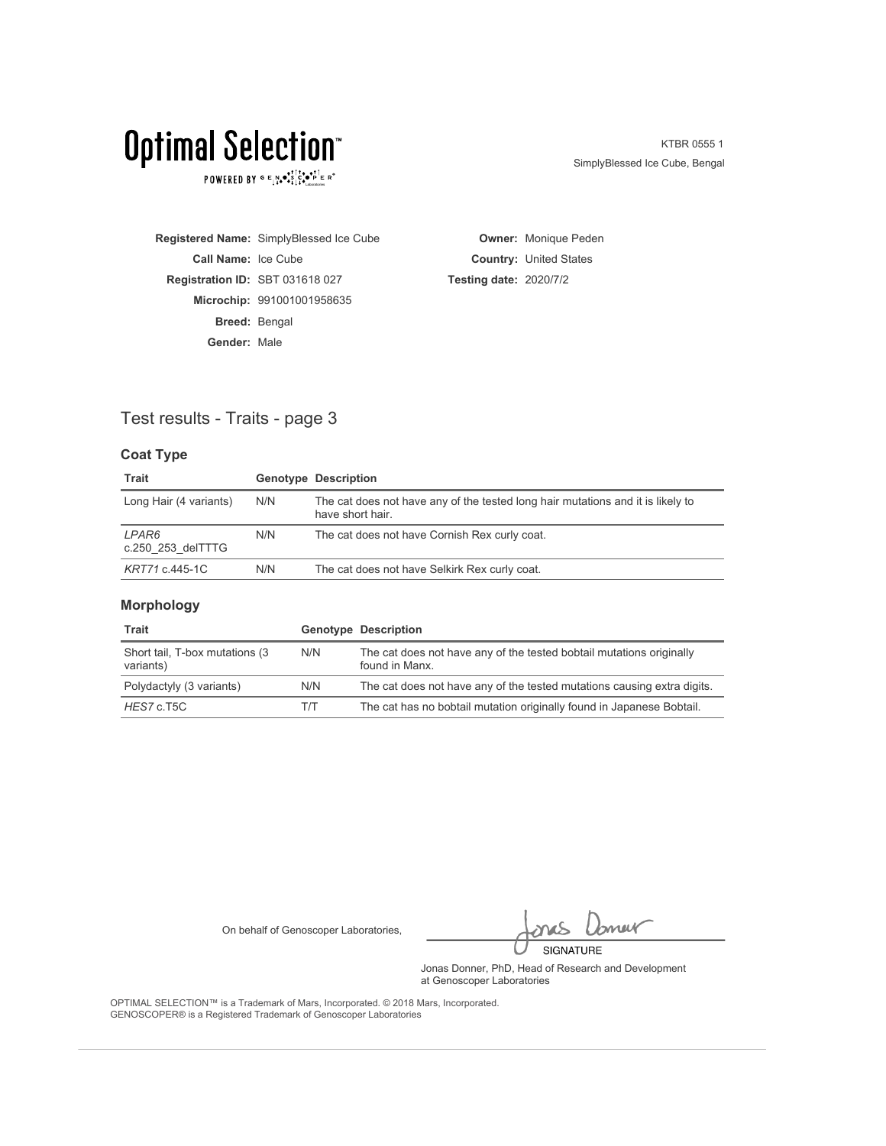POWERED BY  $G \in N_{\bullet} \bullet_{\bullet}^{\bullet} \overset{\uparrow}{\underset{\smile}{\circ}} \overset{\uparrow}{\underset{\smile}{\circ}} \overset{\uparrow}{\underset{\smile}{\circ}} \overset{\uparrow}{\underset{\smile}{\circ}} \overset{\uparrow}{\underset{\smile}{\circ}} \overset{\uparrow}{\underset{\smile}{\circ}} \overset{\uparrow}{\underset{\smile}{\circ}} \overset{\uparrow}{\underset{\smile}{\circ}} \overset{\uparrow}{\underset{\smile}{\circ}} \overset{\uparrow}{\underset{\smile}{\circ}}$ 

KTBR 0555 1 SimplyBlessed Ice Cube, Bengal

**Registered Name:** SimplyBlessed Ice Cube **Call Name:** Ice Cube **Registration ID:** SBT 031618 027 **Microchip:** 991001001958635 **Breed:** Bengal **Gender:** Male

**Owner:** Monique Peden **Country:** United States **Testing date:** 2020/7/2

### Test results - Traits - page 3

### **Coat Type**

| Trait                      |     | <b>Genotype Description</b>                                                                         |
|----------------------------|-----|-----------------------------------------------------------------------------------------------------|
| Long Hair (4 variants)     | N/N | The cat does not have any of the tested long hair mutations and it is likely to<br>have short hair. |
| LPAR6<br>c.250 253 delTTTG | N/N | The cat does not have Cornish Rex curly coat.                                                       |
| KRT71 c.445-1C             | N/N | The cat does not have Selkirk Rex curly coat.                                                       |

### **Morphology**

| Trait                                        |     | <b>Genotype Description</b>                                                            |
|----------------------------------------------|-----|----------------------------------------------------------------------------------------|
| Short tail, T-box mutations (3)<br>variants) | N/N | The cat does not have any of the tested bobtail mutations originally<br>found in Manx. |
| Polydactyly (3 variants)                     | N/N | The cat does not have any of the tested mutations causing extra digits.                |
| HES7 c.T5C                                   | T/T | The cat has no bobtail mutation originally found in Japanese Bobtail.                  |

On behalf of Genoscoper Laboratories,

bnew SIGNATURE

Jonas Donner, PhD, Head of Research and Development at Genoscoper Laboratories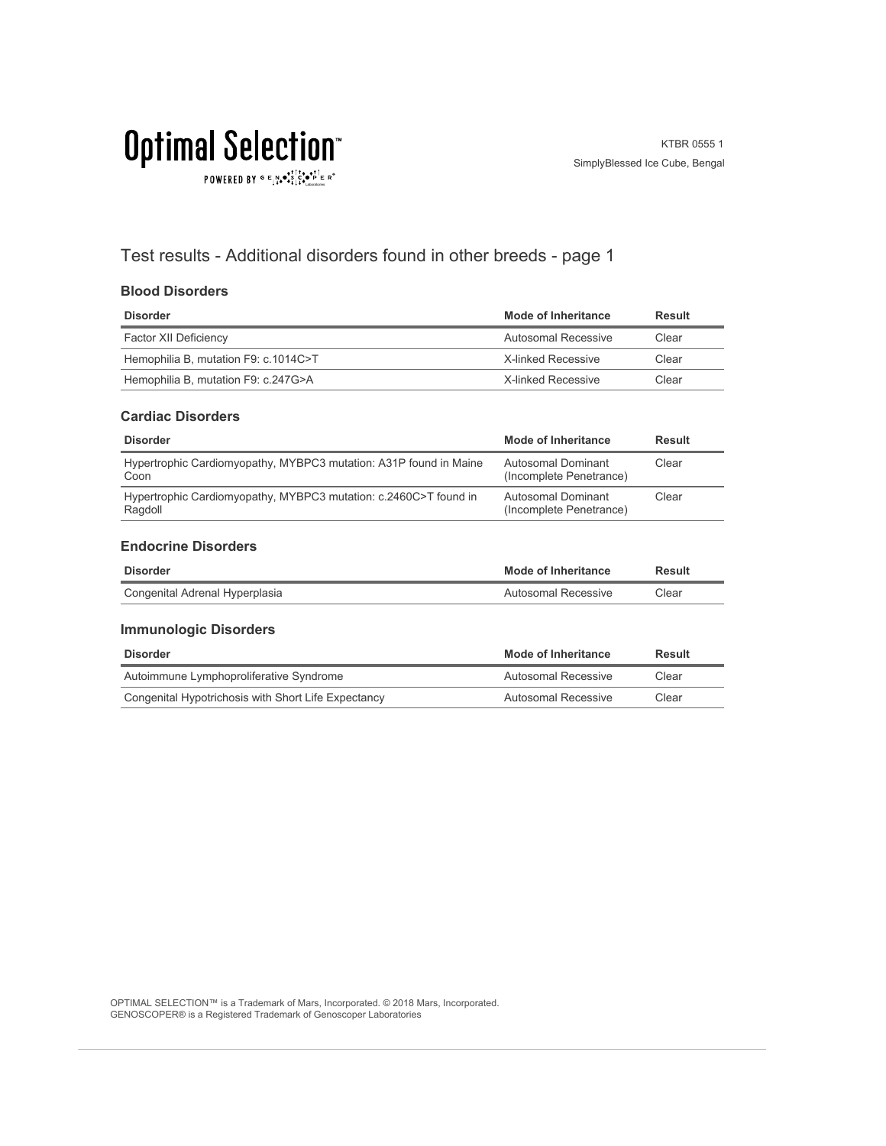POWERED BY  $G \in N_{\bullet} \bullet_{\bullet}^{\bullet,\dagger} \overset{\uparrow}{C}_{\bullet} \bullet_{\bullet}^{\bullet,\dagger} \overset{\uparrow}{C}_{\text{Latocrosics}} \mathbb{R}^{\circ}$ 

## Test results - Additional disorders found in other breeds - page 1

### **Blood Disorders**

| <b>Disorder</b>                      | Mode of Inheritance | Result |
|--------------------------------------|---------------------|--------|
| Factor XII Deficiency                | Autosomal Recessive | Clear  |
| Hemophilia B, mutation F9: c.1014C>T | X-linked Recessive  | Clear  |
| Hemophilia B, mutation F9: c.247G>A  | X-linked Recessive  | Clear  |

#### **Cardiac Disorders**

| <b>Disorder</b>                                                             | Mode of Inheritance                           | Result |
|-----------------------------------------------------------------------------|-----------------------------------------------|--------|
| Hypertrophic Cardiomyopathy, MYBPC3 mutation: A31P found in Maine<br>Coon   | Autosomal Dominant<br>(Incomplete Penetrance) | Clear  |
| Hypertrophic Cardiomyopathy, MYBPC3 mutation: c.2460C>T found in<br>Ragdoll | Autosomal Dominant<br>(Incomplete Penetrance) | Clear  |

### **Endocrine Disorders**

| <b>Disorder</b>                | <b>Mode of Inheritance</b> | Result |
|--------------------------------|----------------------------|--------|
| Congenital Adrenal Hyperplasia | Autosomal Recessive        | Clear  |

### **Immunologic Disorders**

| Disorder                                            | Mode of Inheritance | Result |
|-----------------------------------------------------|---------------------|--------|
| Autoimmune Lymphoproliferative Syndrome             | Autosomal Recessive | Clear  |
| Congenital Hypotrichosis with Short Life Expectancy | Autosomal Recessive | Clear  |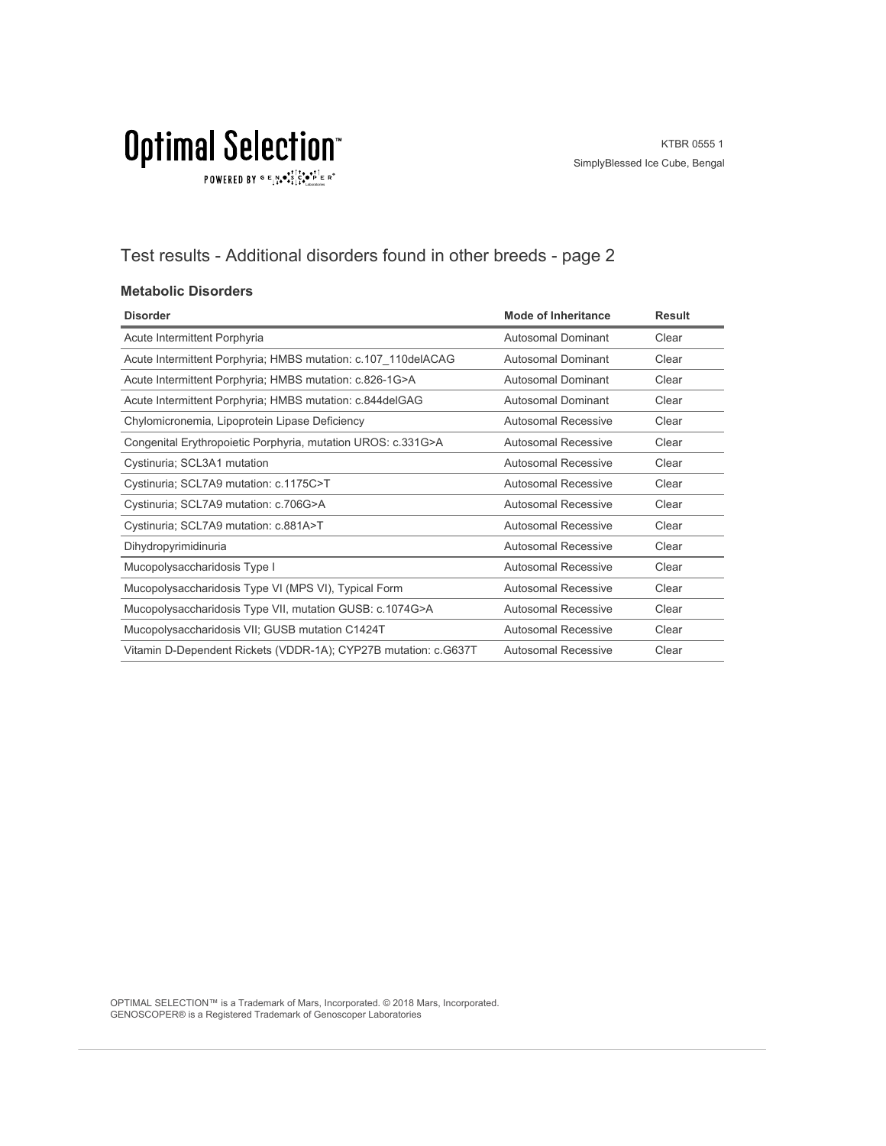$\texttt{POWERED BY} \overset{\text{G}}{=} \underset{\textbf{1}}{\text{N}} \bullet \overset{\text{G}}{\text{S}} \underset{\textbf{1}}{\overset{\text{I}}{\text{I}}}\circ \overset{\text{G}}{\bullet}\overset{\text{F}}{\text{I}} \underset{\text{the becomes}}{\overset{\text{G}}{\text{F}}} \mathbb{R}^\circ$ 

## Test results - Additional disorders found in other breeds - page 2

### **Metabolic Disorders**

| <b>Disorder</b>                                                 | <b>Mode of Inheritance</b> | <b>Result</b> |
|-----------------------------------------------------------------|----------------------------|---------------|
| Acute Intermittent Porphyria                                    | Autosomal Dominant         | Clear         |
| Acute Intermittent Porphyria; HMBS mutation: c.107 110delACAG   | Autosomal Dominant         | Clear         |
| Acute Intermittent Porphyria; HMBS mutation: c.826-1G>A         | Autosomal Dominant         | Clear         |
| Acute Intermittent Porphyria; HMBS mutation: c.844delGAG        | Autosomal Dominant         | Clear         |
| Chylomicronemia, Lipoprotein Lipase Deficiency                  | Autosomal Recessive        | Clear         |
| Congenital Erythropoietic Porphyria, mutation UROS: c.331G>A    | Autosomal Recessive        | Clear         |
| Cystinuria; SCL3A1 mutation                                     | Autosomal Recessive        | Clear         |
| Cystinuria; SCL7A9 mutation: c.1175C>T                          | Autosomal Recessive        | Clear         |
| Cystinuria; SCL7A9 mutation: c.706G>A                           | Autosomal Recessive        | Clear         |
| Cystinuria; SCL7A9 mutation: c.881A>T                           | <b>Autosomal Recessive</b> | Clear         |
| Dihydropyrimidinuria                                            | Autosomal Recessive        | Clear         |
| Mucopolysaccharidosis Type I                                    | Autosomal Recessive        | Clear         |
| Mucopolysaccharidosis Type VI (MPS VI), Typical Form            | Autosomal Recessive        | Clear         |
| Mucopolysaccharidosis Type VII, mutation GUSB: c.1074G>A        | <b>Autosomal Recessive</b> | Clear         |
| Mucopolysaccharidosis VII; GUSB mutation C1424T                 | Autosomal Recessive        | Clear         |
| Vitamin D-Dependent Rickets (VDDR-1A); CYP27B mutation: c.G637T | Autosomal Recessive        | Clear         |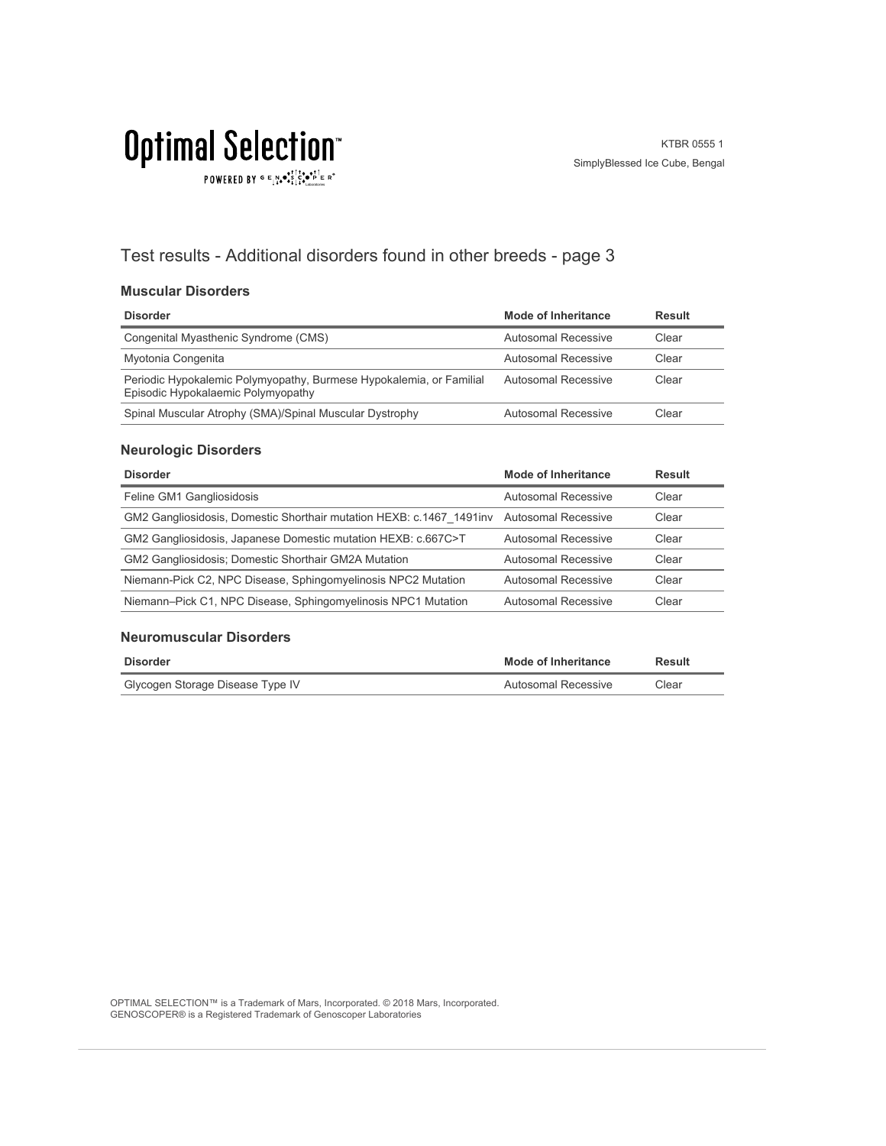POWERED BY  $G \in N_{\bullet} \bullet_{\bullet}^{\bullet,\dagger} \overset{\uparrow}{C}_{\bullet} \bullet_{\bullet}^{\bullet,\dagger} \overset{\uparrow}{C}_{\text{Latocrosics}} \mathbb{R}^{\circ}$ 

## Test results - Additional disorders found in other breeds - page 3

### **Muscular Disorders**

| <b>Disorder</b>                                                                                           | Mode of Inheritance | Result |
|-----------------------------------------------------------------------------------------------------------|---------------------|--------|
| Congenital Myasthenic Syndrome (CMS)                                                                      | Autosomal Recessive | Clear  |
| Myotonia Congenita                                                                                        | Autosomal Recessive | Clear  |
| Periodic Hypokalemic Polymyopathy, Burmese Hypokalemia, or Familial<br>Episodic Hypokalaemic Polymyopathy | Autosomal Recessive | Clear  |
| Spinal Muscular Atrophy (SMA)/Spinal Muscular Dystrophy                                                   | Autosomal Recessive | Clear  |

### **Neurologic Disorders**

| <b>Disorder</b>                                                                           | Mode of Inheritance        | <b>Result</b> |
|-------------------------------------------------------------------------------------------|----------------------------|---------------|
| Feline GM1 Gangliosidosis                                                                 | Autosomal Recessive        | Clear         |
| GM2 Gangliosidosis, Domestic Shorthair mutation HEXB: c.1467 1491 inv Autosomal Recessive |                            | Clear         |
| GM2 Gangliosidosis, Japanese Domestic mutation HEXB: c.667C>T                             | Autosomal Recessive        | Clear         |
| <b>GM2 Gangliosidosis: Domestic Shorthair GM2A Mutation</b>                               | Autosomal Recessive        | Clear         |
| Niemann-Pick C2, NPC Disease, Sphingomyelinosis NPC2 Mutation                             | <b>Autosomal Recessive</b> | Clear         |
| Niemann-Pick C1, NPC Disease, Sphingomyelinosis NPC1 Mutation                             | Autosomal Recessive        | Clear         |

### **Neuromuscular Disorders**

| <b>Disorder</b>                  | <b>Mode of Inheritance</b> | Result |
|----------------------------------|----------------------------|--------|
| Glycogen Storage Disease Type IV | Autosomal Recessive        | Clear  |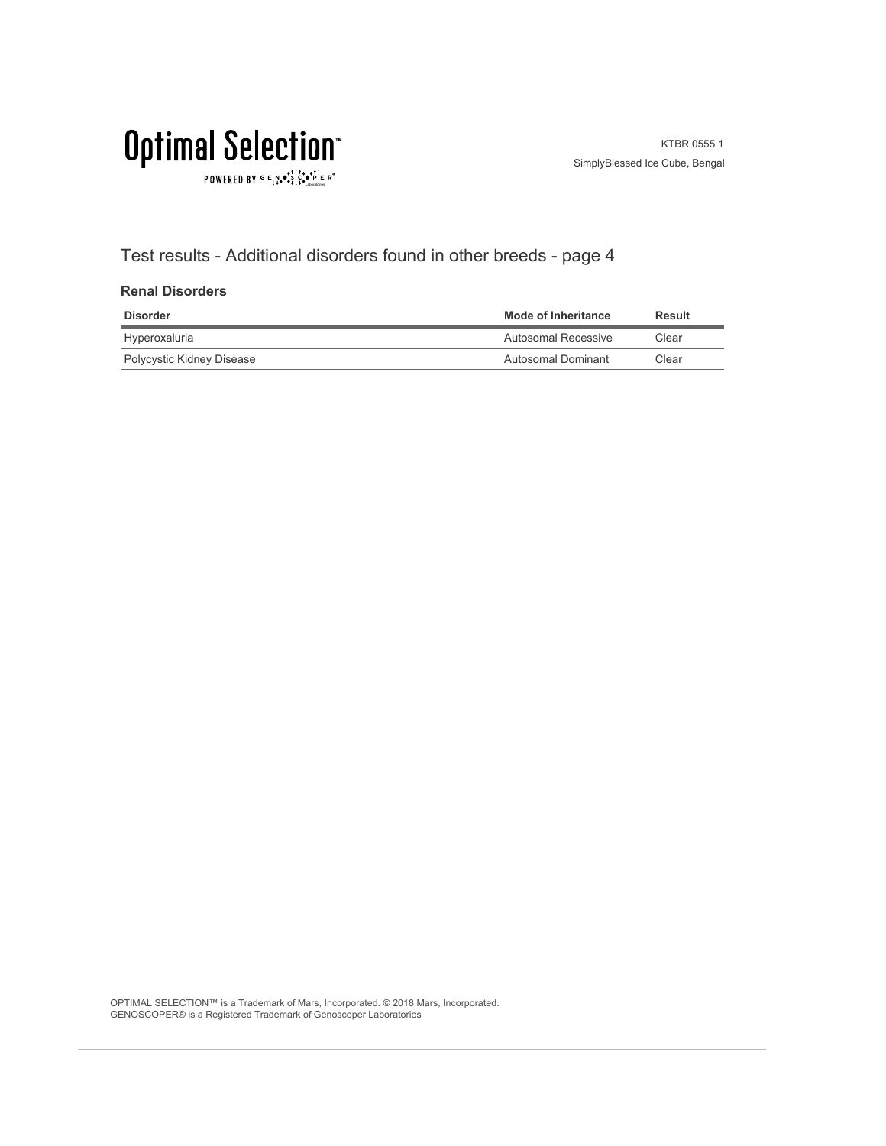$\texttt{POWERED BY} \overset{\text{\tiny{\textsf{GP}}}}{=} \mathbb{E}^{\text{N}}_{\text{14}} \bullet^{\text{\tiny{\textsf{opt}}}}_{\text{\tiny{\textsf{14}}}} \mathbb{E}^{\bullet\bullet\text{PI}}_{\text{\tiny{\textsf{14}}}} \mathbb{E}^{\circ\text{-P}}$ 

## Test results - Additional disorders found in other breeds - page 4

### **Renal Disorders**

| <b>Disorder</b>           | Mode of Inheritance | Result |
|---------------------------|---------------------|--------|
| Hyperoxaluria             | Autosomal Recessive | Clear  |
| Polycystic Kidney Disease | Autosomal Dominant  | Clear  |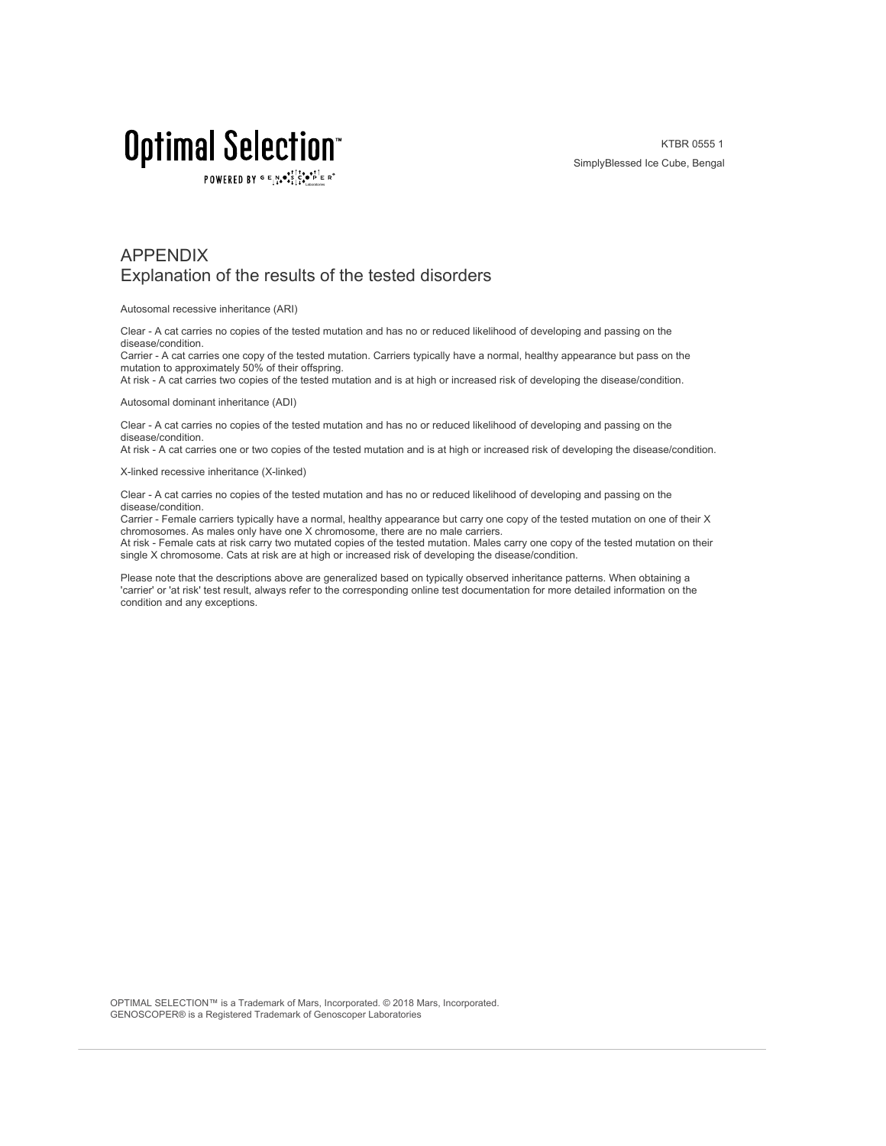POWERED BY  $G \in N_{\bullet} \bullet_{\bullet}^{\dagger} \stackrel{\uparrow}{\circ} \bullet_{\mathbf{P}}^{\dagger} \in R^{\circ}$ 

KTBR 0555 1 SimplyBlessed Ice Cube, Bengal

### APPENDIX Explanation of the results of the tested disorders

Autosomal recessive inheritance (ARI)

Clear - A cat carries no copies of the tested mutation and has no or reduced likelihood of developing and passing on the disease/condition.

Carrier - A cat carries one copy of the tested mutation. Carriers typically have a normal, healthy appearance but pass on the mutation to approximately 50% of their offspring.

At risk - A cat carries two copies of the tested mutation and is at high or increased risk of developing the disease/condition.

Autosomal dominant inheritance (ADI)

Clear - A cat carries no copies of the tested mutation and has no or reduced likelihood of developing and passing on the disease/condition.

At risk - A cat carries one or two copies of the tested mutation and is at high or increased risk of developing the disease/condition.

X-linked recessive inheritance (X-linked)

Clear - A cat carries no copies of the tested mutation and has no or reduced likelihood of developing and passing on the disease/condition.

Carrier - Female carriers typically have a normal, healthy appearance but carry one copy of the tested mutation on one of their X chromosomes. As males only have one X chromosome, there are no male carriers.

At risk - Female cats at risk carry two mutated copies of the tested mutation. Males carry one copy of the tested mutation on their single X chromosome. Cats at risk are at high or increased risk of developing the disease/condition.

Please note that the descriptions above are generalized based on typically observed inheritance patterns. When obtaining a 'carrier' or 'at risk' test result, always refer to the corresponding online test documentation for more detailed information on the condition and any exceptions.